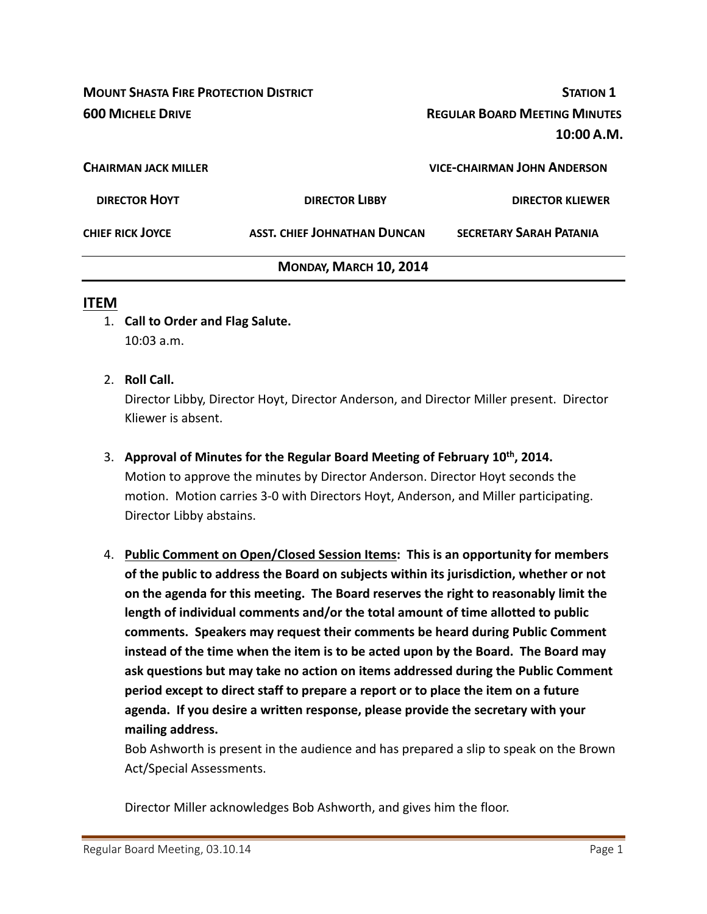| <b>MOUNT SHASTA FIRE PROTECTION DISTRICT</b> |                                     | <b>STATION 1</b>                     |  |
|----------------------------------------------|-------------------------------------|--------------------------------------|--|
| <b>600 MICHELE DRIVE</b>                     |                                     | <b>REGULAR BOARD MEETING MINUTES</b> |  |
|                                              |                                     | 10:00 A.M.                           |  |
| <b>CHAIRMAN JACK MILLER</b>                  |                                     | <b>VICE-CHAIRMAN JOHN ANDERSON</b>   |  |
| <b>DIRECTOR HOYT</b>                         | <b>DIRECTOR LIBBY</b>               | <b>DIRECTOR KLIEWER</b>              |  |
| <b>CHIEF RICK JOYCE</b>                      | <b>ASST. CHIEF JOHNATHAN DUNCAN</b> | <b>SECRETARY SARAH PATANIA</b>       |  |
|                                              | MONDAY, MARCH 10, 2014              |                                      |  |

#### **ITEM**

- 1. **Call to Order and Flag Salute.** 10:03 a.m.
- 2. **Roll Call.**

Director Libby, Director Hoyt, Director Anderson, and Director Miller present. Director Kliewer is absent.

- 3. **Approval of Minutes for the Regular Board Meeting of February 10th, 2014.** Motion to approve the minutes by Director Anderson. Director Hoyt seconds the motion. Motion carries 3‐0 with Directors Hoyt, Anderson, and Miller participating. Director Libby abstains.
- 4. **Public Comment on Open/Closed Session Items: This is an opportunity for members of the public to address the Board on subjects within its jurisdiction, whether or not on the agenda for this meeting. The Board reserves the right to reasonably limit the length of individual comments and/or the total amount of time allotted to public comments. Speakers may request their comments be heard during Public Comment instead of the time when the item is to be acted upon by the Board. The Board may ask questions but may take no action on items addressed during the Public Comment period except to direct staff to prepare a report or to place the item on a future agenda. If you desire a written response, please provide the secretary with your mailing address.**

Bob Ashworth is present in the audience and has prepared a slip to speak on the Brown Act/Special Assessments.

Director Miller acknowledges Bob Ashworth, and gives him the floor.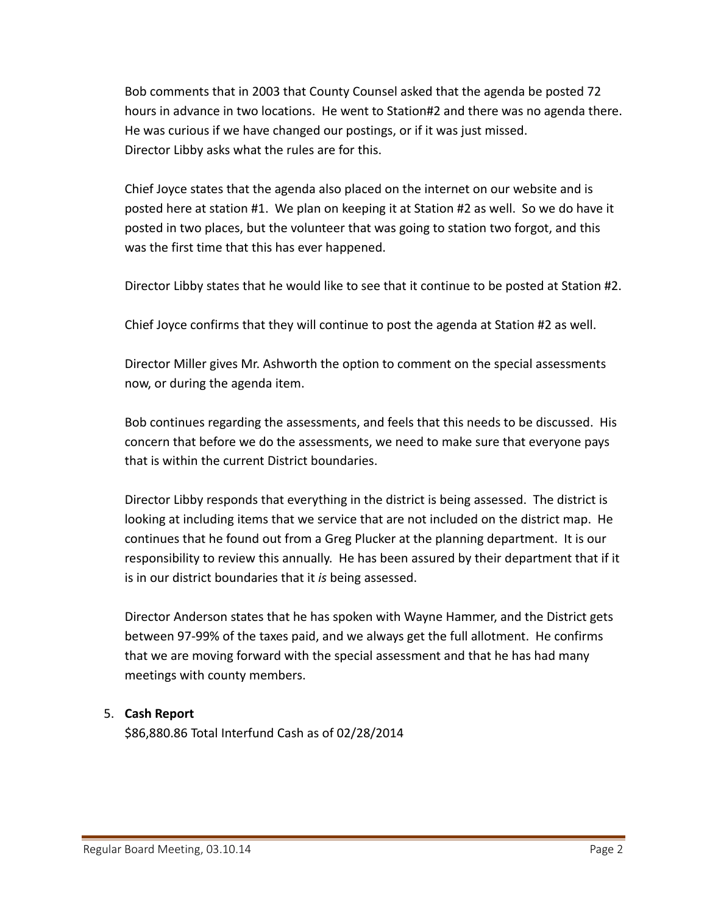Bob comments that in 2003 that County Counsel asked that the agenda be posted 72 hours in advance in two locations. He went to Station#2 and there was no agenda there. He was curious if we have changed our postings, or if it was just missed. Director Libby asks what the rules are for this.

Chief Joyce states that the agenda also placed on the internet on our website and is posted here at station #1. We plan on keeping it at Station #2 as well. So we do have it posted in two places, but the volunteer that was going to station two forgot, and this was the first time that this has ever happened.

Director Libby states that he would like to see that it continue to be posted at Station #2.

Chief Joyce confirms that they will continue to post the agenda at Station #2 as well.

Director Miller gives Mr. Ashworth the option to comment on the special assessments now, or during the agenda item.

Bob continues regarding the assessments, and feels that this needs to be discussed. His concern that before we do the assessments, we need to make sure that everyone pays that is within the current District boundaries.

Director Libby responds that everything in the district is being assessed. The district is looking at including items that we service that are not included on the district map. He continues that he found out from a Greg Plucker at the planning department. It is our responsibility to review this annually. He has been assured by their department that if it is in our district boundaries that it *is* being assessed.

Director Anderson states that he has spoken with Wayne Hammer, and the District gets between 97‐99% of the taxes paid, and we always get the full allotment. He confirms that we are moving forward with the special assessment and that he has had many meetings with county members.

# 5. **Cash Report**

\$86,880.86 Total Interfund Cash as of 02/28/2014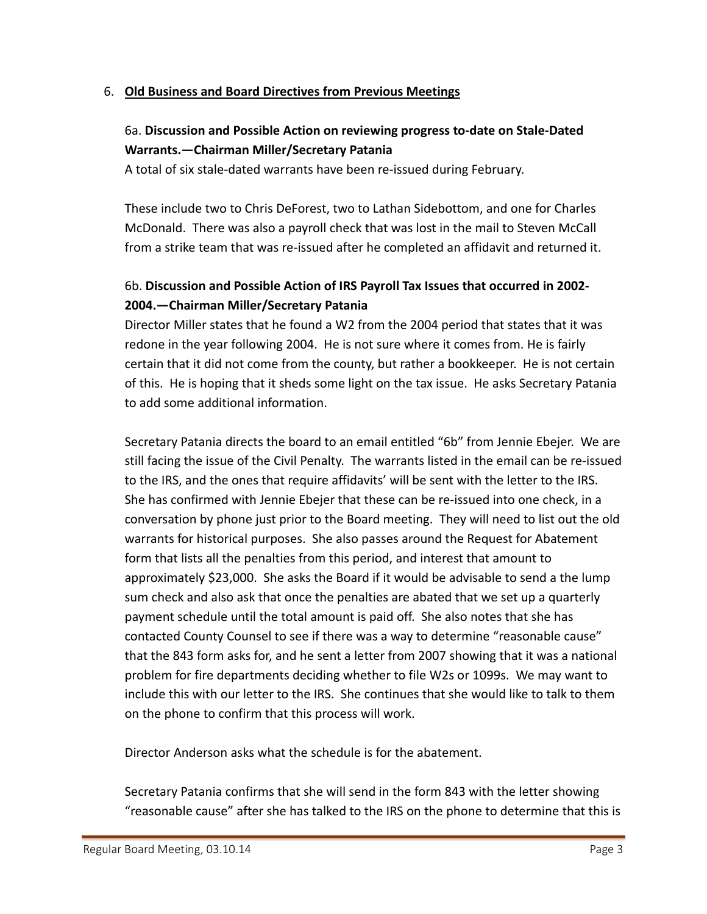#### 6. **Old Business and Board Directives from Previous Meetings**

# 6a. **Discussion and Possible Action on reviewing progress to‐date on Stale‐Dated Warrants.—Chairman Miller/Secretary Patania**

A total of six stale‐dated warrants have been re‐issued during February.

These include two to Chris DeForest, two to Lathan Sidebottom, and one for Charles McDonald. There was also a payroll check that was lost in the mail to Steven McCall from a strike team that was re‐issued after he completed an affidavit and returned it.

# 6b. **Discussion and Possible Action of IRS Payroll Tax Issues that occurred in 2002‐ 2004.—Chairman Miller/Secretary Patania**

Director Miller states that he found a W2 from the 2004 period that states that it was redone in the year following 2004. He is not sure where it comes from. He is fairly certain that it did not come from the county, but rather a bookkeeper. He is not certain of this. He is hoping that it sheds some light on the tax issue. He asks Secretary Patania to add some additional information.

Secretary Patania directs the board to an email entitled "6b" from Jennie Ebejer. We are still facing the issue of the Civil Penalty. The warrants listed in the email can be re‐issued to the IRS, and the ones that require affidavits' will be sent with the letter to the IRS. She has confirmed with Jennie Ebejer that these can be re‐issued into one check, in a conversation by phone just prior to the Board meeting. They will need to list out the old warrants for historical purposes. She also passes around the Request for Abatement form that lists all the penalties from this period, and interest that amount to approximately \$23,000. She asks the Board if it would be advisable to send a the lump sum check and also ask that once the penalties are abated that we set up a quarterly payment schedule until the total amount is paid off. She also notes that she has contacted County Counsel to see if there was a way to determine "reasonable cause" that the 843 form asks for, and he sent a letter from 2007 showing that it was a national problem for fire departments deciding whether to file W2s or 1099s. We may want to include this with our letter to the IRS. She continues that she would like to talk to them on the phone to confirm that this process will work.

Director Anderson asks what the schedule is for the abatement.

Secretary Patania confirms that she will send in the form 843 with the letter showing "reasonable cause" after she has talked to the IRS on the phone to determine that this is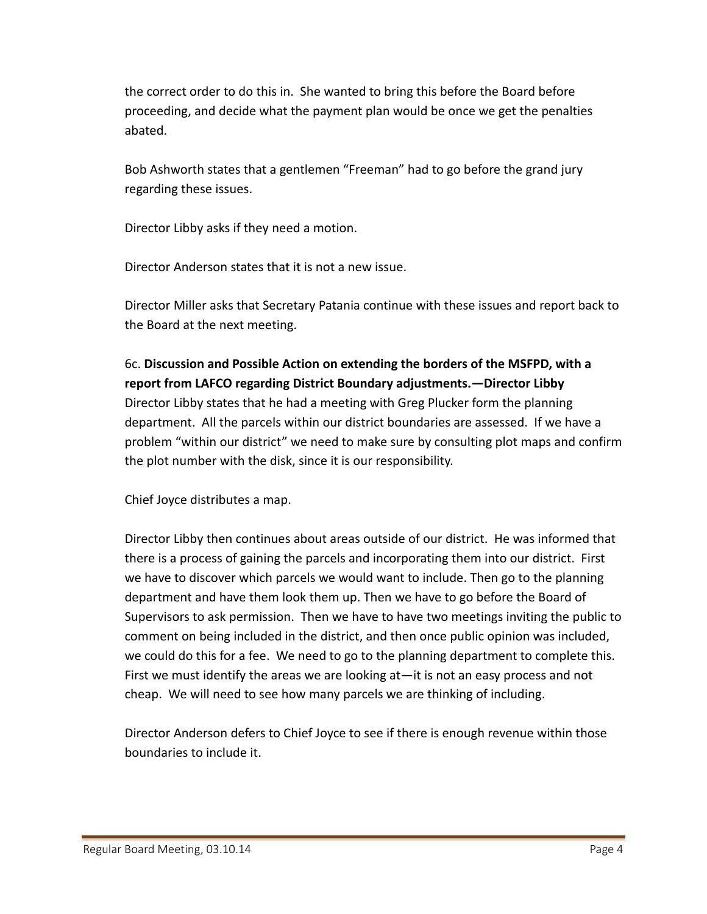the correct order to do this in. She wanted to bring this before the Board before proceeding, and decide what the payment plan would be once we get the penalties abated.

Bob Ashworth states that a gentlemen "Freeman" had to go before the grand jury regarding these issues.

Director Libby asks if they need a motion.

Director Anderson states that it is not a new issue.

Director Miller asks that Secretary Patania continue with these issues and report back to the Board at the next meeting.

6c. **Discussion and Possible Action on extending the borders of the MSFPD, with a report from LAFCO regarding District Boundary adjustments.—Director Libby** Director Libby states that he had a meeting with Greg Plucker form the planning department. All the parcels within our district boundaries are assessed. If we have a problem "within our district" we need to make sure by consulting plot maps and confirm the plot number with the disk, since it is our responsibility.

Chief Joyce distributes a map.

Director Libby then continues about areas outside of our district. He was informed that there is a process of gaining the parcels and incorporating them into our district. First we have to discover which parcels we would want to include. Then go to the planning department and have them look them up. Then we have to go before the Board of Supervisors to ask permission. Then we have to have two meetings inviting the public to comment on being included in the district, and then once public opinion was included, we could do this for a fee. We need to go to the planning department to complete this. First we must identify the areas we are looking at—it is not an easy process and not cheap. We will need to see how many parcels we are thinking of including.

Director Anderson defers to Chief Joyce to see if there is enough revenue within those boundaries to include it.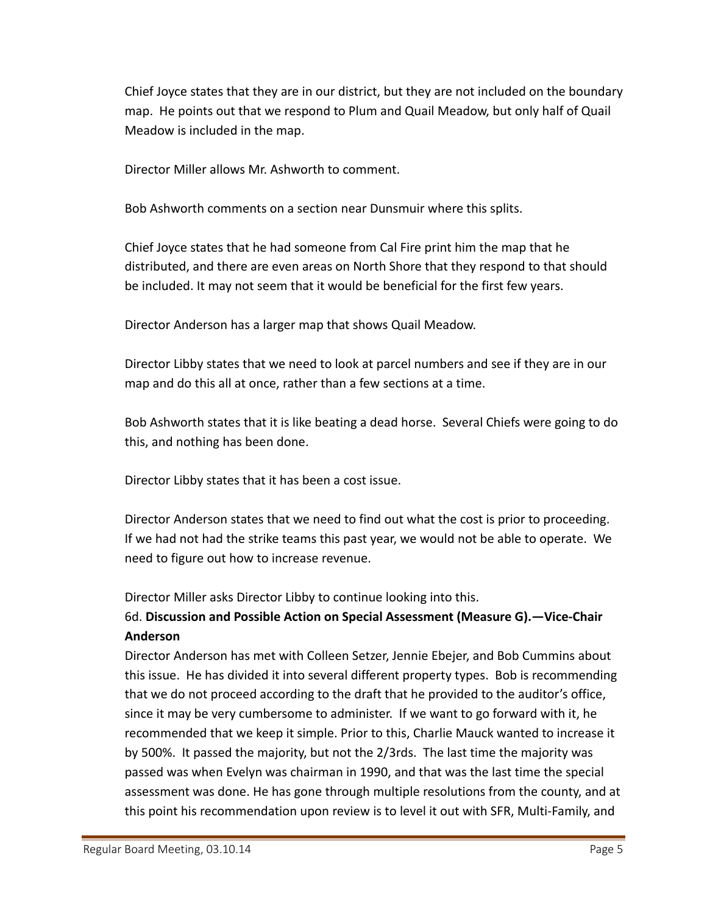Chief Joyce states that they are in our district, but they are not included on the boundary map. He points out that we respond to Plum and Quail Meadow, but only half of Quail Meadow is included in the map.

Director Miller allows Mr. Ashworth to comment.

Bob Ashworth comments on a section near Dunsmuir where this splits.

Chief Joyce states that he had someone from Cal Fire print him the map that he distributed, and there are even areas on North Shore that they respond to that should be included. It may not seem that it would be beneficial for the first few years.

Director Anderson has a larger map that shows Quail Meadow.

Director Libby states that we need to look at parcel numbers and see if they are in our map and do this all at once, rather than a few sections at a time.

Bob Ashworth states that it is like beating a dead horse. Several Chiefs were going to do this, and nothing has been done.

Director Libby states that it has been a cost issue.

Director Anderson states that we need to find out what the cost is prior to proceeding. If we had not had the strike teams this past year, we would not be able to operate. We need to figure out how to increase revenue.

Director Miller asks Director Libby to continue looking into this.

# 6d. **Discussion and Possible Action on Special Assessment (Measure G).—Vice‐Chair Anderson**

Director Anderson has met with Colleen Setzer, Jennie Ebejer, and Bob Cummins about this issue. He has divided it into several different property types. Bob is recommending that we do not proceed according to the draft that he provided to the auditor's office, since it may be very cumbersome to administer. If we want to go forward with it, he recommended that we keep it simple. Prior to this, Charlie Mauck wanted to increase it by 500%. It passed the majority, but not the 2/3rds. The last time the majority was passed was when Evelyn was chairman in 1990, and that was the last time the special assessment was done. He has gone through multiple resolutions from the county, and at this point his recommendation upon review is to level it out with SFR, Multi‐Family, and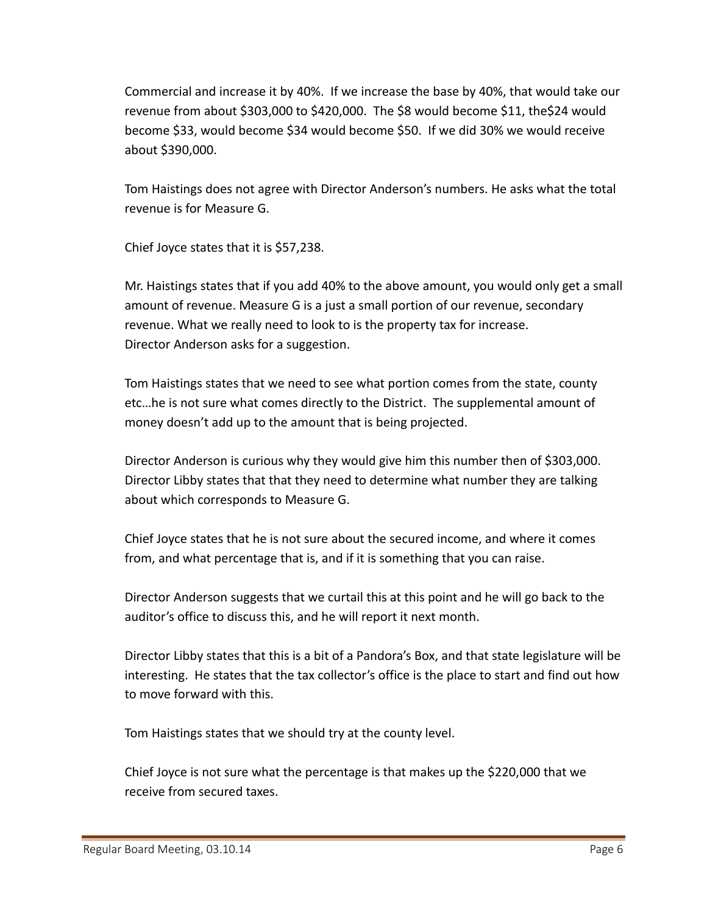Commercial and increase it by 40%. If we increase the base by 40%, that would take our revenue from about \$303,000 to \$420,000. The \$8 would become \$11, the\$24 would become \$33, would become \$34 would become \$50. If we did 30% we would receive about \$390,000.

Tom Haistings does not agree with Director Anderson's numbers. He asks what the total revenue is for Measure G.

Chief Joyce states that it is \$57,238.

Mr. Haistings states that if you add 40% to the above amount, you would only get a small amount of revenue. Measure G is a just a small portion of our revenue, secondary revenue. What we really need to look to is the property tax for increase. Director Anderson asks for a suggestion.

Tom Haistings states that we need to see what portion comes from the state, county etc…he is not sure what comes directly to the District. The supplemental amount of money doesn't add up to the amount that is being projected.

Director Anderson is curious why they would give him this number then of \$303,000. Director Libby states that that they need to determine what number they are talking about which corresponds to Measure G.

Chief Joyce states that he is not sure about the secured income, and where it comes from, and what percentage that is, and if it is something that you can raise.

Director Anderson suggests that we curtail this at this point and he will go back to the auditor's office to discuss this, and he will report it next month.

Director Libby states that this is a bit of a Pandora's Box, and that state legislature will be interesting. He states that the tax collector's office is the place to start and find out how to move forward with this.

Tom Haistings states that we should try at the county level.

Chief Joyce is not sure what the percentage is that makes up the \$220,000 that we receive from secured taxes.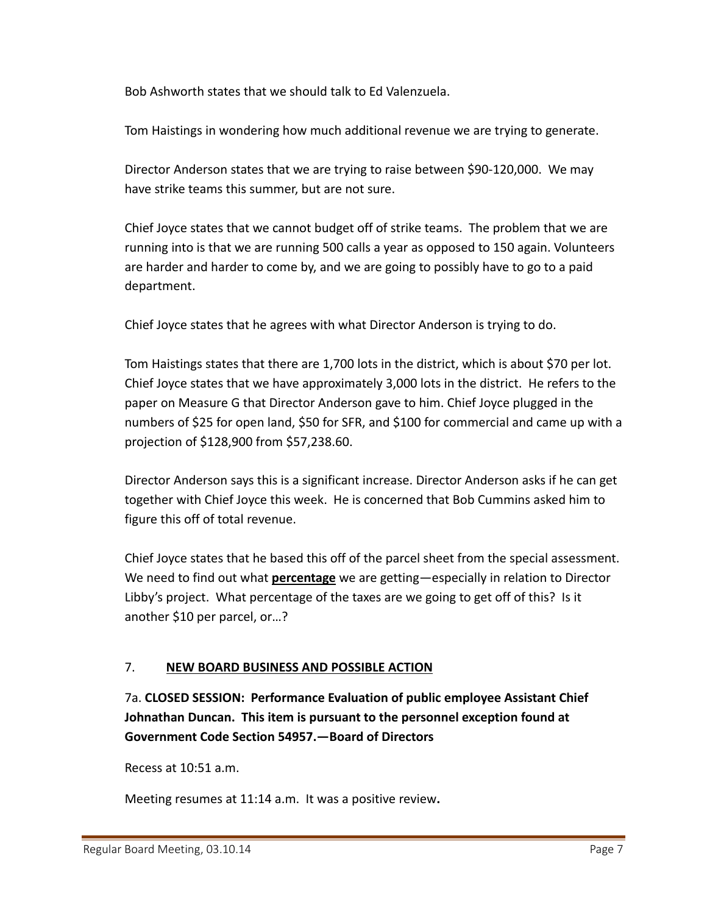Bob Ashworth states that we should talk to Ed Valenzuela.

Tom Haistings in wondering how much additional revenue we are trying to generate.

Director Anderson states that we are trying to raise between \$90‐120,000. We may have strike teams this summer, but are not sure.

Chief Joyce states that we cannot budget off of strike teams. The problem that we are running into is that we are running 500 calls a year as opposed to 150 again. Volunteers are harder and harder to come by, and we are going to possibly have to go to a paid department.

Chief Joyce states that he agrees with what Director Anderson is trying to do.

Tom Haistings states that there are 1,700 lots in the district, which is about \$70 per lot. Chief Joyce states that we have approximately 3,000 lots in the district. He refers to the paper on Measure G that Director Anderson gave to him. Chief Joyce plugged in the numbers of \$25 for open land, \$50 for SFR, and \$100 for commercial and came up with a projection of \$128,900 from \$57,238.60.

Director Anderson says this is a significant increase. Director Anderson asks if he can get together with Chief Joyce this week. He is concerned that Bob Cummins asked him to figure this off of total revenue.

Chief Joyce states that he based this off of the parcel sheet from the special assessment. We need to find out what **percentage** we are getting—especially in relation to Director Libby's project. What percentage of the taxes are we going to get off of this? Is it another \$10 per parcel, or…?

# 7. **NEW BOARD BUSINESS AND POSSIBLE ACTION**

7a. **CLOSED SESSION: Performance Evaluation of public employee Assistant Chief Johnathan Duncan. This item is pursuant to the personnel exception found at Government Code Section 54957.—Board of Directors**

Recess at 10:51 a.m.

Meeting resumes at 11:14 a.m. It was a positive review**.**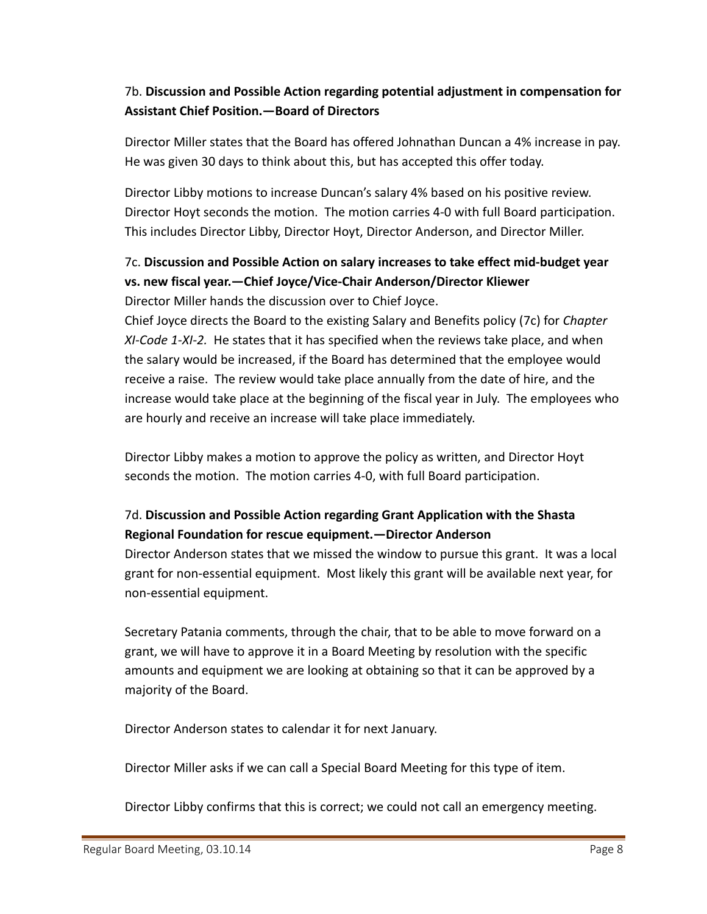# 7b. **Discussion and Possible Action regarding potential adjustment in compensation for Assistant Chief Position.—Board of Directors**

Director Miller states that the Board has offered Johnathan Duncan a 4% increase in pay. He was given 30 days to think about this, but has accepted this offer today.

Director Libby motions to increase Duncan's salary 4% based on his positive review. Director Hoyt seconds the motion. The motion carries 4‐0 with full Board participation. This includes Director Libby, Director Hoyt, Director Anderson, and Director Miller.

# 7c. **Discussion and Possible Action on salary increases to take effect mid‐budget year vs. new fiscal year.—Chief Joyce/Vice‐Chair Anderson/Director Kliewer**

Director Miller hands the discussion over to Chief Joyce.

Chief Joyce directs the Board to the existing Salary and Benefits policy (7c) for *Chapter XI‐Code 1‐XI‐2.* He states that it has specified when the reviews take place, and when the salary would be increased, if the Board has determined that the employee would receive a raise. The review would take place annually from the date of hire, and the increase would take place at the beginning of the fiscal year in July. The employees who are hourly and receive an increase will take place immediately.

Director Libby makes a motion to approve the policy as written, and Director Hoyt seconds the motion. The motion carries 4‐0, with full Board participation.

# 7d. **Discussion and Possible Action regarding Grant Application with the Shasta Regional Foundation for rescue equipment.—Director Anderson**

Director Anderson states that we missed the window to pursue this grant. It was a local grant for non‐essential equipment. Most likely this grant will be available next year, for non‐essential equipment.

Secretary Patania comments, through the chair, that to be able to move forward on a grant, we will have to approve it in a Board Meeting by resolution with the specific amounts and equipment we are looking at obtaining so that it can be approved by a majority of the Board.

Director Anderson states to calendar it for next January.

Director Miller asks if we can call a Special Board Meeting for this type of item.

Director Libby confirms that this is correct; we could not call an emergency meeting.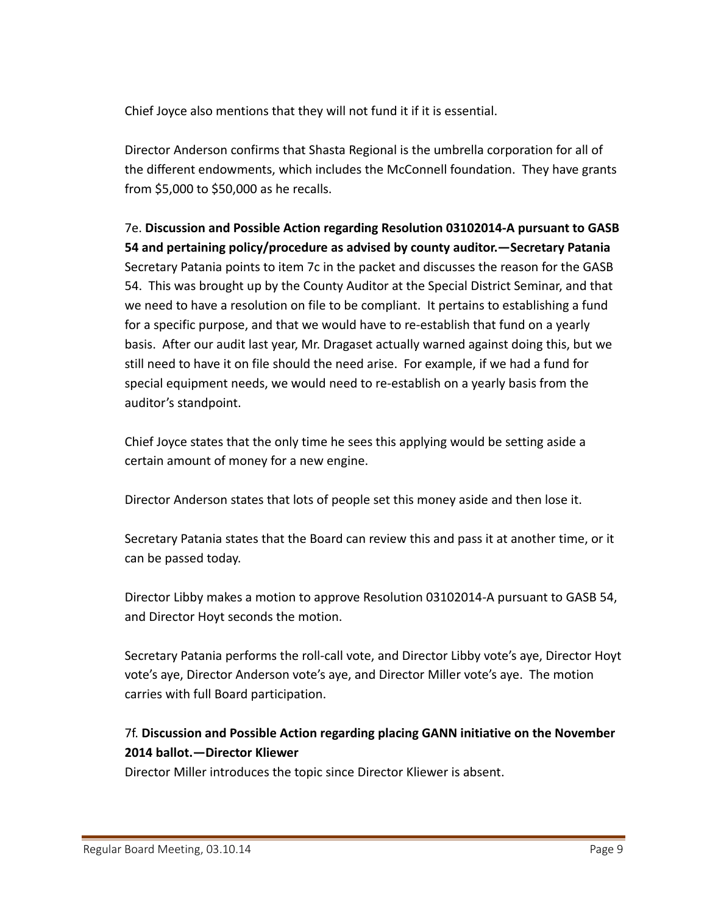Chief Joyce also mentions that they will not fund it if it is essential.

Director Anderson confirms that Shasta Regional is the umbrella corporation for all of the different endowments, which includes the McConnell foundation. They have grants from \$5,000 to \$50,000 as he recalls.

7e. **Discussion and Possible Action regarding Resolution 03102014‐A pursuant to GASB 54 and pertaining policy/procedure as advised by county auditor.—Secretary Patania** Secretary Patania points to item 7c in the packet and discusses the reason for the GASB 54. This was brought up by the County Auditor at the Special District Seminar, and that we need to have a resolution on file to be compliant. It pertains to establishing a fund for a specific purpose, and that we would have to re‐establish that fund on a yearly basis. After our audit last year, Mr. Dragaset actually warned against doing this, but we still need to have it on file should the need arise. For example, if we had a fund for special equipment needs, we would need to re‐establish on a yearly basis from the auditor's standpoint.

Chief Joyce states that the only time he sees this applying would be setting aside a certain amount of money for a new engine.

Director Anderson states that lots of people set this money aside and then lose it.

Secretary Patania states that the Board can review this and pass it at another time, or it can be passed today.

Director Libby makes a motion to approve Resolution 03102014‐A pursuant to GASB 54, and Director Hoyt seconds the motion.

Secretary Patania performs the roll‐call vote, and Director Libby vote's aye, Director Hoyt vote's aye, Director Anderson vote's aye, and Director Miller vote's aye. The motion carries with full Board participation.

# 7f. **Discussion and Possible Action regarding placing GANN initiative on the November 2014 ballot.—Director Kliewer**

Director Miller introduces the topic since Director Kliewer is absent.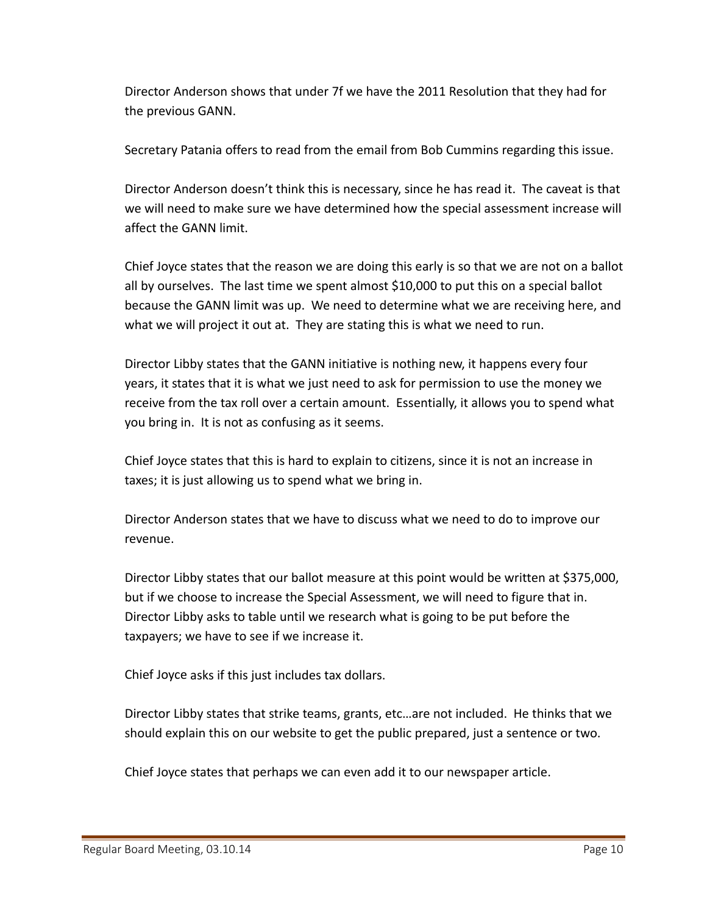Director Anderson shows that under 7f we have the 2011 Resolution that they had for the previous GANN.

Secretary Patania offers to read from the email from Bob Cummins regarding this issue.

Director Anderson doesn't think this is necessary, since he has read it. The caveat is that we will need to make sure we have determined how the special assessment increase will affect the GANN limit.

Chief Joyce states that the reason we are doing this early is so that we are not on a ballot all by ourselves. The last time we spent almost \$10,000 to put this on a special ballot because the GANN limit was up. We need to determine what we are receiving here, and what we will project it out at. They are stating this is what we need to run.

Director Libby states that the GANN initiative is nothing new, it happens every four years, it states that it is what we just need to ask for permission to use the money we receive from the tax roll over a certain amount. Essentially, it allows you to spend what you bring in. It is not as confusing as it seems.

Chief Joyce states that this is hard to explain to citizens, since it is not an increase in taxes; it is just allowing us to spend what we bring in.

Director Anderson states that we have to discuss what we need to do to improve our revenue.

Director Libby states that our ballot measure at this point would be written at \$375,000, but if we choose to increase the Special Assessment, we will need to figure that in. Director Libby asks to table until we research what is going to be put before the taxpayers; we have to see if we increase it.

Chief Joyce asks if this just includes tax dollars.

Director Libby states that strike teams, grants, etc…are not included. He thinks that we should explain this on our website to get the public prepared, just a sentence or two.

Chief Joyce states that perhaps we can even add it to our newspaper article.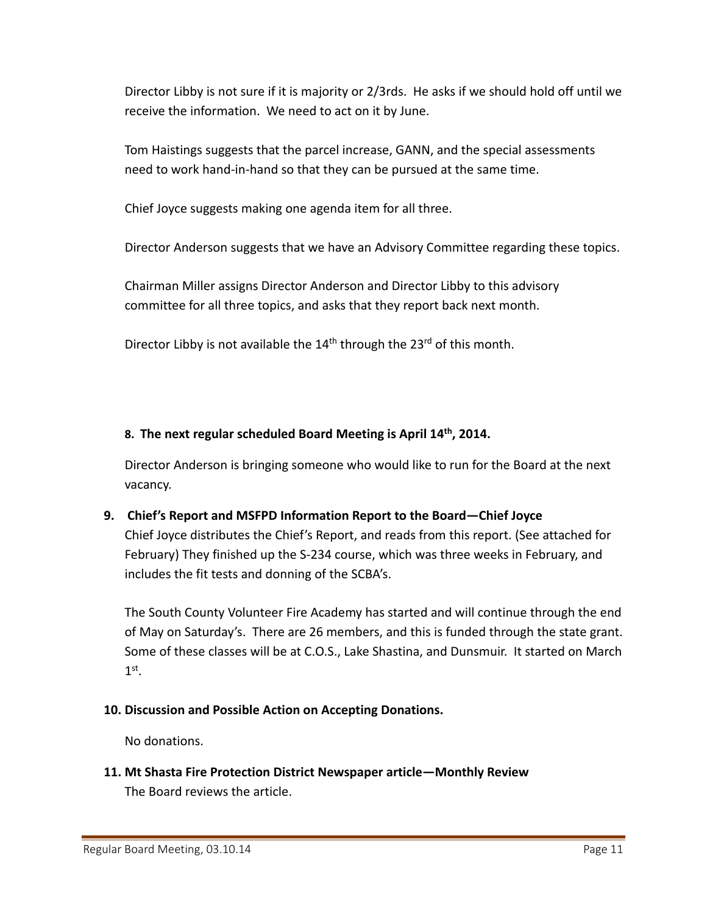Director Libby is not sure if it is majority or 2/3rds. He asks if we should hold off until we receive the information. We need to act on it by June.

Tom Haistings suggests that the parcel increase, GANN, and the special assessments need to work hand‐in‐hand so that they can be pursued at the same time.

Chief Joyce suggests making one agenda item for all three.

Director Anderson suggests that we have an Advisory Committee regarding these topics.

Chairman Miller assigns Director Anderson and Director Libby to this advisory committee for all three topics, and asks that they report back next month.

Director Libby is not available the  $14<sup>th</sup>$  through the  $23<sup>rd</sup>$  of this month.

### **8. The next regular scheduled Board Meeting is April 14th, 2014.**

Director Anderson is bringing someone who would like to run for the Board at the next vacancy.

### **9. Chief's Report and MSFPD Information Report to the Board—Chief Joyce**

Chief Joyce distributes the Chief's Report, and reads from this report. (See attached for February) They finished up the S‐234 course, which was three weeks in February, and includes the fit tests and donning of the SCBA's.

The South County Volunteer Fire Academy has started and will continue through the end of May on Saturday's. There are 26 members, and this is funded through the state grant. Some of these classes will be at C.O.S., Lake Shastina, and Dunsmuir. It started on March  $1<sup>st</sup>$ .

### **10. Discussion and Possible Action on Accepting Donations.**

No donations.

**11. Mt Shasta Fire Protection District Newspaper article—Monthly Review** The Board reviews the article.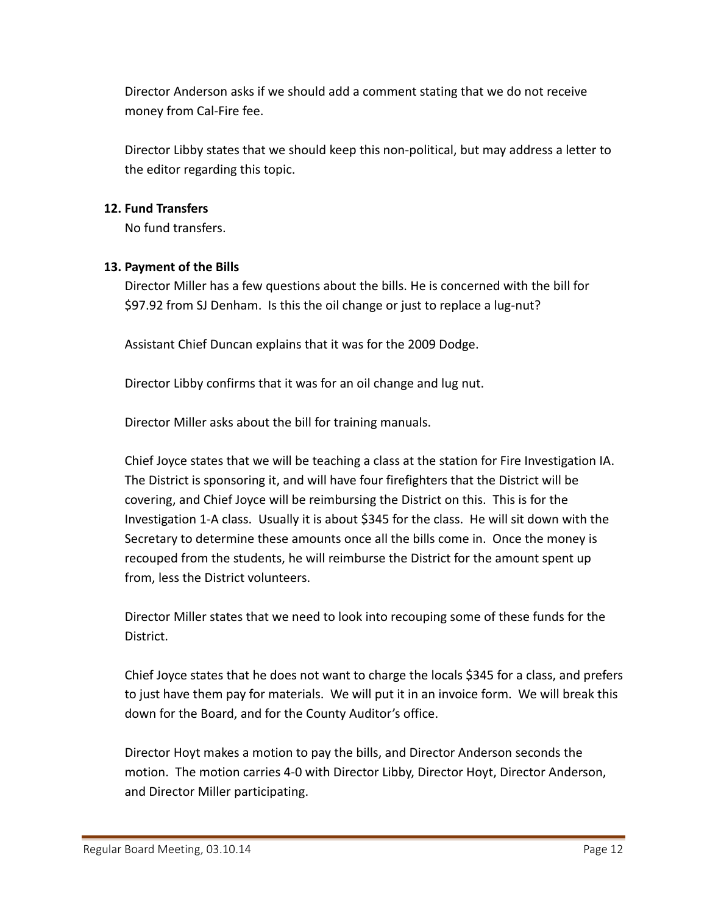Director Anderson asks if we should add a comment stating that we do not receive money from Cal‐Fire fee.

Director Libby states that we should keep this non‐political, but may address a letter to the editor regarding this topic.

#### **12. Fund Transfers**

No fund transfers.

#### **13. Payment of the Bills**

Director Miller has a few questions about the bills. He is concerned with the bill for \$97.92 from SJ Denham. Is this the oil change or just to replace a lug-nut?

Assistant Chief Duncan explains that it was for the 2009 Dodge.

Director Libby confirms that it was for an oil change and lug nut.

Director Miller asks about the bill for training manuals.

Chief Joyce states that we will be teaching a class at the station for Fire Investigation IA. The District is sponsoring it, and will have four firefighters that the District will be covering, and Chief Joyce will be reimbursing the District on this. This is for the Investigation 1‐A class. Usually it is about \$345 for the class. He will sit down with the Secretary to determine these amounts once all the bills come in. Once the money is recouped from the students, he will reimburse the District for the amount spent up from, less the District volunteers.

Director Miller states that we need to look into recouping some of these funds for the District.

Chief Joyce states that he does not want to charge the locals \$345 for a class, and prefers to just have them pay for materials. We will put it in an invoice form. We will break this down for the Board, and for the County Auditor's office.

Director Hoyt makes a motion to pay the bills, and Director Anderson seconds the motion. The motion carries 4‐0 with Director Libby, Director Hoyt, Director Anderson, and Director Miller participating.